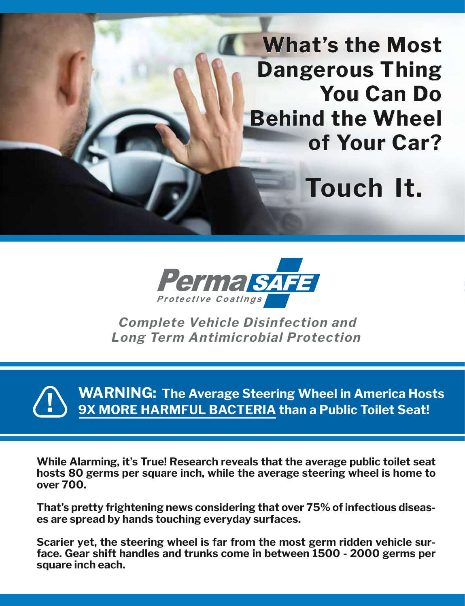**What's the Most the Most Dangerous Thing You Can Do You Can Do Behind the Wheel Behind the Wheel of Your Car? of Your Car?**

**Touch It.**



*Complete Vehicle Disinfection and Long Term Antimicrobial Protection*

**WARNING: The Average Steering Wheel in America Hosts 9X MORE HARMFUL BACTERIA than a Public Toilet Seat!** 

**While Alarming, it's True! Research reveals that the average public toilet seat hosts 80 germs per square inch, while the average steering wheel is home to over 700.**

**That's pretty frightening news considering that over 75% of infectious diseases are spread by hands touching everyday surfaces.**

**Scarier yet, the steering wheel is far from the most germ ridden vehicle surface. Gear shift handles and trunks come in between 1500 - 2000 germs per square inch each.**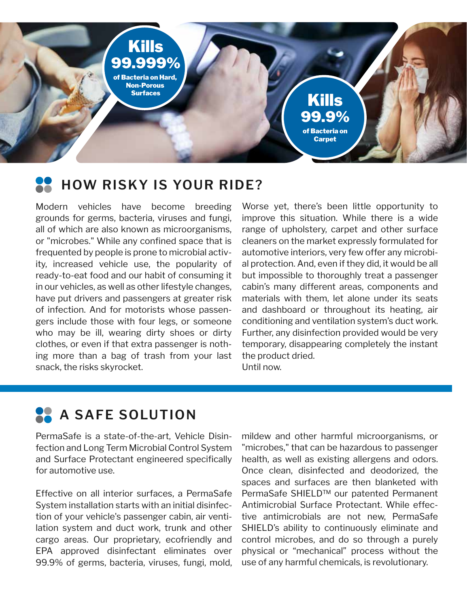99.999% **Bacteria on Hard,** Non-Porous Surfaces Kills

#### **HOW RISKY IS YOUR RIDE? THE E R E C AN IN THE SERVICE OF A TEXT EXAMPLE 2**

Modern vehicles have become breeding grounds for germs, bacteria, viruses and fungi, all of which are also known as microorganisms, or "microbes." While any confined space that is frequented by people is prone to microbial activity, increased vehicle use, the popularity of ready-to-eat food and our habit of consuming it in our vehicles, as well as other lifestyle changes, mear venerge, as wen as exist message originger, have put drivers and passengers at greater risk nave part anywho and passengers are greater how of infection. And for motorists whose passengers include those with four legs, or someone who may be ill, wearing dirty shoes or dirty clothes, or even if that extra passenger is nothing more than a bag of trash from your last snack, the risks skyrocket. direction. And for motorists whose pas

where yet, there's been little opportunity to , improve this situation. While there is a wide , range of upholstery, carpet and other surface cleaners on the market expressly formulated for automotive interiors, very few offer any microbif al protection. And, even if they did, it would be all t but impossible to thoroughly treat a passenger cabin's many different areas, components and nooking and nonmaterials with them, let alone under its seats and dashboard or throughout its heating, air  $\qquad \qquad \text{conditioning and ventilation system's duct work.}$  $\gamma$  Further, any disinfection provided would be very temporary, disappearing completely the instant the product dried. Until now. and the limited with the line distribution  $\frac{1}{2}$  and  $\frac{1}{2}$  and  $\frac{1}{2}$  and  $\frac{1}{2}$  and  $\frac{1}{2}$  and  $\frac{1}{2}$  and  $\frac{1}{2}$  and  $\frac{1}{2}$  and  $\frac{1}{2}$  and  $\frac{1}{2}$  and  $\frac{1}{2}$  and  $\frac{1}{2}$  and  $\frac{1}{2}$  the spot of area where  $\mu$  are  $\mu$  and  $\mu$  are  $\mu$  was used,  $\mu$  and  $\mu$ 

99.9% of Bacteria on **Carpet** 

Kills

#### **PermaNa SAFE SOLUTION**  $M_{\rm c}$  and surface and surface and surface and surface and surface and surface and surface and surface and surface and surface and surface and surface and surface and surface and surface and surface and surface and surf

**INTRODUCTING PERMASAFE**

PermaSafe is a state-of-the-art, Vehicle Disinfection and Long Term Microbial Control System and Surface Protectant engineered specifically for automotive use.

Effective on all interior surfaces, a PermaSafe system installation starts with an initial disinfec-Experiming canceling the wind are matter digitize lation system and duct work, trunk and other cargo areas. Our proprietary, ecofriendly and EPA approved disinfectant eliminates over 99.9% of germs, bacteria, viruses, fungi, mold,  $\frac{1}{2}$  and FPA and FPA approximates overlaps of  $\frac{1}{2}$  and  $\frac{1}{2}$  and  $\frac{1}{2}$  and  $\frac{1}{2}$  and  $\frac{1}{2}$ 

- mildew and other harmful microorganisms, or ו "microbes," that can be hazardous to passenger  $v$  health, as well as existing allergens and odors. Once clean, disinfected and deodorized, the spaces and surfaces are then blanketed with PermaSafe SHIELD™ our patented Permanent Antimicrobial Surface Protectant. While effec-Final microbial barrace Frotectant. While crice<br>In tive antimicrobials are not new, PermaSafe r SHIELD's ability to continuously eliminate and I control microbes, and do so through a purely physical or "mechanical" process without the use of any harmful chemicals, is revolutionary. pure antimologies are not new, remic<br> $\epsilon$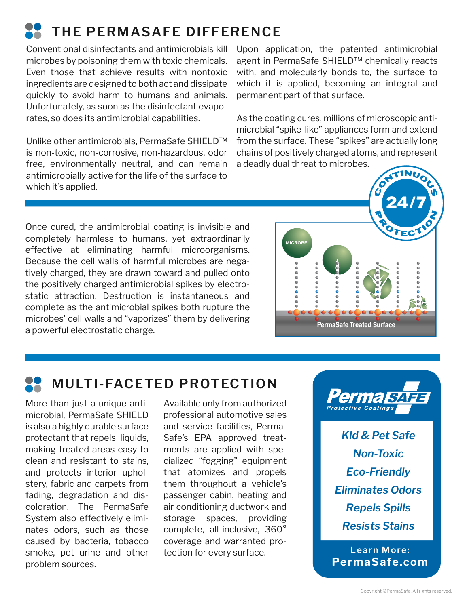# **THE PERMASAFE DIFFERENCE**

Conventional disinfectants and antimicrobials kill microbes by poisoning them with toxic chemicals. Even those that achieve results with nontoxic ingredients are designed to both act and dissipate quickly to avoid harm to humans and animals. Unfortunately, as soon as the disinfectant evaporates, so does its antimicrobial capabilities.

Unlike other antimicrobials, PermaSafe SHIELD™ is non-toxic, non-corrosive, non-hazardous, odor free, environmentally neutral, and can remain antimicrobially active for the life of the surface to which it's applied.

Upon application, the patented antimicrobial agent in PermaSafe SHIELD™ chemically reacts with, and molecularly bonds to, the surface to which it is applied, becoming an integral and permanent part of that surface.

As the coating cures, millions of microscopic antimicrobial "spike-like" appliances form and extend from the surface. These "spikes" are actually long chains of positively charged atoms, and represent a deadly dual threat to microbes.

Once cured, the antimicrobial coating is invisible and completely harmless to humans, yet extraordinarily effective at eliminating harmful microorganisms. Because the cell walls of harmful microbes are negatively charged, they are drawn toward and pulled onto the positively charged antimicrobial spikes by electrostatic attraction. Destruction is instantaneous and complete as the antimicrobial spikes both rupture the microbes' cell walls and "vaporizes" them by delivering a powerful electrostatic charge.



## **MULTI-FACETED PROTECTION**

More than just a unique antimicrobial, PermaSafe SHIELD is also a highly durable surface protectant that repels liquids, making treated areas easy to clean and resistant to stains, and protects interior upholstery, fabric and carpets from fading, degradation and discoloration. The PermaSafe System also effectively eliminates odors, such as those caused by bacteria, tobacco smoke, pet urine and other problem sources.

Available only from authorized professional automotive sales and service facilities, Perma-Safe's EPA approved treatments are applied with specialized "fogging" equipment that atomizes and propels them throughout a vehicle's passenger cabin, heating and air conditioning ductwork and storage spaces, providing complete, all-inclusive, 360° coverage and warranted protection for every surface.



*Non-Toxic Eco-Friendly Eliminates Odors Repels Spills Resists Stains Kid & Pet Safe*

**PermaSafe.com Learn More:**